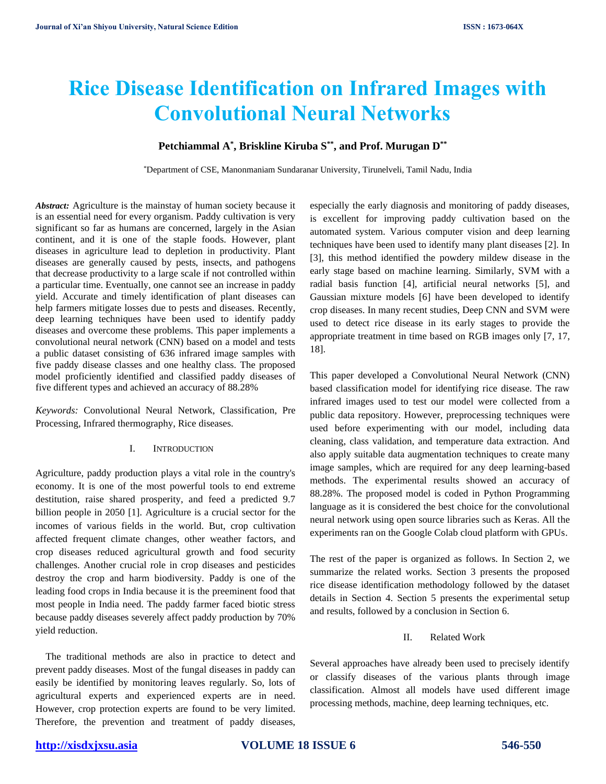# **Rice Disease Identification on Infrared Images with Convolutional Neural Networks**

# **Petchiammal A\* , Briskline Kiruba S\*\*, and Prof. Murugan D\*\***

\*Department of CSE, Manonmaniam Sundaranar University, Tirunelveli, Tamil Nadu, India

*Abstract:* Agriculture is the mainstay of human society because it is an essential need for every organism. Paddy cultivation is very significant so far as humans are concerned, largely in the Asian continent, and it is one of the staple foods. However, plant diseases in agriculture lead to depletion in productivity. Plant diseases are generally caused by pests, insects, and pathogens that decrease productivity to a large scale if not controlled within a particular time. Eventually, one cannot see an increase in paddy yield. Accurate and timely identification of plant diseases can help farmers mitigate losses due to pests and diseases. Recently, deep learning techniques have been used to identify paddy diseases and overcome these problems. This paper implements a convolutional neural network (CNN) based on a model and tests a public dataset consisting of 636 infrared image samples with five paddy disease classes and one healthy class. The proposed model proficiently identified and classified paddy diseases of five different types and achieved an accuracy of 88.28%

*Keywords:* Convolutional Neural Network, Classification, Pre Processing, Infrared thermography, Rice diseases.

#### I. INTRODUCTION

Agriculture, paddy production plays a vital role in the country's economy. It is one of the most powerful tools to end extreme destitution, raise shared prosperity, and feed a predicted 9.7 billion people in 2050 [1]. Agriculture is a crucial sector for the incomes of various fields in the world. But, crop cultivation affected frequent climate changes, other weather factors, and crop diseases reduced agricultural growth and food security challenges. Another crucial role in crop diseases and pesticides destroy the crop and harm biodiversity. Paddy is one of the leading food crops in India because it is the preeminent food that most people in India need. The paddy farmer faced biotic stress because paddy diseases severely affect paddy production by 70% yield reduction.

 The traditional methods are also in practice to detect and prevent paddy diseases. Most of the fungal diseases in paddy can easily be identified by monitoring leaves regularly. So, lots of agricultural experts and experienced experts are in need. However, crop protection experts are found to be very limited. Therefore, the prevention and treatment of paddy diseases,

especially the early diagnosis and monitoring of paddy diseases, is excellent for improving paddy cultivation based on the automated system. Various computer vision and deep learning techniques have been used to identify many plant diseases [2]. In [3], this method identified the powdery mildew disease in the early stage based on machine learning. Similarly, SVM with a radial basis function [4], artificial neural networks [5], and Gaussian mixture models [6] have been developed to identify crop diseases. In many recent studies, Deep CNN and SVM were used to detect rice disease in its early stages to provide the appropriate treatment in time based on RGB images only [7, 17, 18].

This paper developed a Convolutional Neural Network (CNN) based classification model for identifying rice disease. The raw infrared images used to test our model were collected from a public data repository. However, preprocessing techniques were used before experimenting with our model, including data cleaning, class validation, and temperature data extraction. And also apply suitable data augmentation techniques to create many image samples, which are required for any deep learning-based methods. The experimental results showed an accuracy of 88.28%. The proposed model is coded in Python Programming language as it is considered the best choice for the convolutional neural network using open source libraries such as Keras. All the experiments ran on the Google Colab cloud platform with GPUs.

The rest of the paper is organized as follows. In Section 2, we summarize the related works. Section 3 presents the proposed rice disease identification methodology followed by the dataset details in Section 4. Section 5 presents the experimental setup and results, followed by a conclusion in Section 6.

#### II. Related Work

Several approaches have already been used to precisely identify or classify diseases of the various plants through image classification. Almost all models have used different image processing methods, machine, deep learning techniques, etc.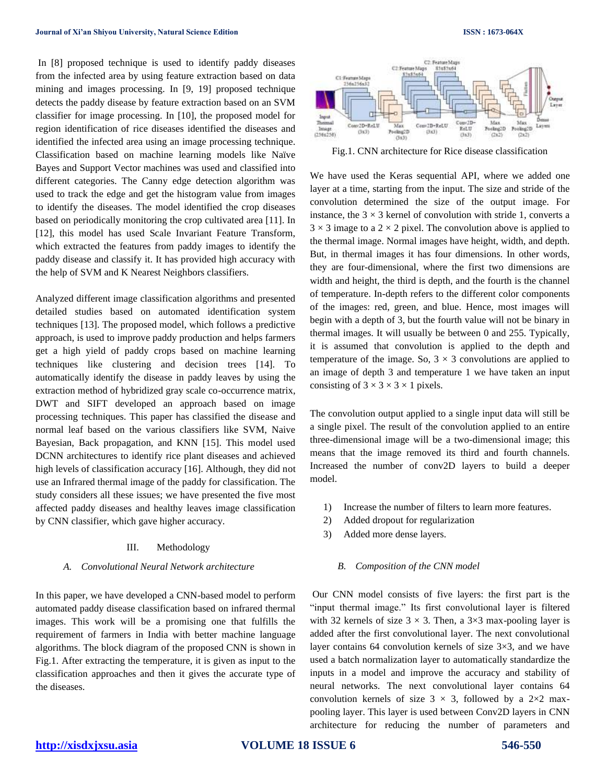In [8] proposed technique is used to identify paddy diseases from the infected area by using feature extraction based on data mining and images processing. In [9, 19] proposed technique detects the paddy disease by feature extraction based on an SVM classifier for image processing. In [10], the proposed model for region identification of rice diseases identified the diseases and identified the infected area using an image processing technique. Classification based on machine learning models like Naïve Bayes and Support Vector machines was used and classified into different categories. The Canny edge detection algorithm was used to track the edge and get the histogram value from images to identify the diseases. The model identified the crop diseases based on periodically monitoring the crop cultivated area [11]. In [12], this model has used Scale Invariant Feature Transform, which extracted the features from paddy images to identify the paddy disease and classify it. It has provided high accuracy with the help of SVM and K Nearest Neighbors classifiers.

Analyzed different image classification algorithms and presented detailed studies based on automated identification system techniques [13]. The proposed model, which follows a predictive approach, is used to improve paddy production and helps farmers get a high yield of paddy crops based on machine learning techniques like clustering and decision trees [14]. To automatically identify the disease in paddy leaves by using the extraction method of hybridized gray scale co-occurrence matrix, DWT and SIFT developed an approach based on image processing techniques. This paper has classified the disease and normal leaf based on the various classifiers like SVM, Naive Bayesian, Back propagation, and KNN [15]. This model used DCNN architectures to identify rice plant diseases and achieved high levels of classification accuracy [16]. Although, they did not use an Infrared thermal image of the paddy for classification. The study considers all these issues; we have presented the five most affected paddy diseases and healthy leaves image classification by CNN classifier, which gave higher accuracy.

#### III. Methodology

#### *A. Convolutional Neural Network architecture*

In this paper, we have developed a CNN-based model to perform automated paddy disease classification based on infrared thermal images. This work will be a promising one that fulfills the requirement of farmers in India with better machine language algorithms. The block diagram of the proposed CNN is shown in Fig.1. After extracting the temperature, it is given as input to the classification approaches and then it gives the accurate type of the diseases.



Fig.1. CNN architecture for Rice disease classification

We have used the Keras sequential API, where we added one layer at a time, starting from the input. The size and stride of the convolution determined the size of the output image. For instance, the  $3 \times 3$  kernel of convolution with stride 1, converts a  $3 \times 3$  image to a  $2 \times 2$  pixel. The convolution above is applied to the thermal image. Normal images have height, width, and depth. But, in thermal images it has four dimensions. In other words, they are four-dimensional, where the first two dimensions are width and height, the third is depth, and the fourth is the channel of temperature. In-depth refers to the different color components of the images: red, green, and blue. Hence, most images will begin with a depth of 3, but the fourth value will not be binary in thermal images. It will usually be between 0 and 255. Typically, it is assumed that convolution is applied to the depth and temperature of the image. So,  $3 \times 3$  convolutions are applied to an image of depth 3 and temperature 1 we have taken an input consisting of  $3 \times 3 \times 3 \times 1$  pixels.

The convolution output applied to a single input data will still be a single pixel. The result of the convolution applied to an entire three-dimensional image will be a two-dimensional image; this means that the image removed its third and fourth channels. Increased the number of conv2D layers to build a deeper model.

- 1) Increase the number of filters to learn more features.
- 2) Added dropout for regularization
- 3) Added more dense layers.

#### *B. Composition of the CNN model*

Our CNN model consists of five layers: the first part is the "input thermal image." Its first convolutional layer is filtered with 32 kernels of size  $3 \times 3$ . Then, a  $3 \times 3$  max-pooling layer is added after the first convolutional layer. The next convolutional layer contains 64 convolution kernels of size 3×3, and we have used a batch normalization layer to automatically standardize the inputs in a model and improve the accuracy and stability of neural networks. The next convolutional layer contains 64 convolution kernels of size  $3 \times 3$ , followed by a 2×2 maxpooling layer. This layer is used between Conv2D layers in CNN architecture for reducing the number of parameters and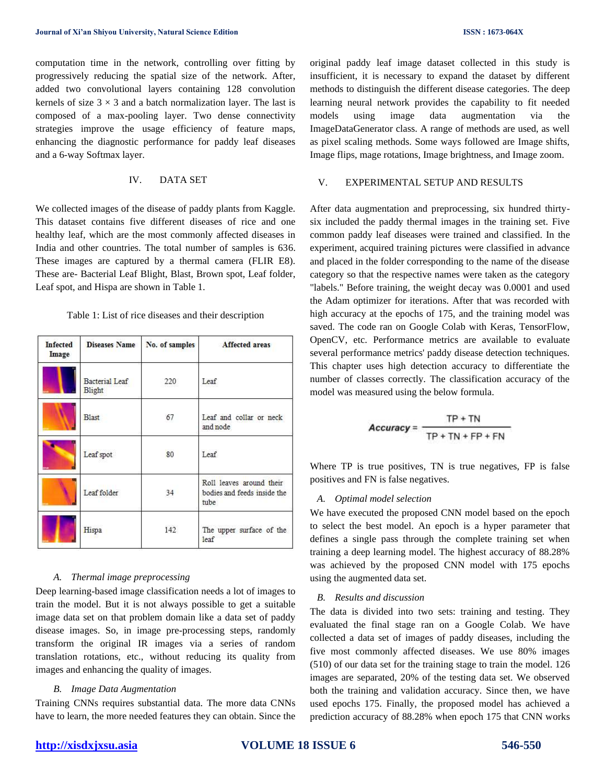computation time in the network, controlling over fitting by progressively reducing the spatial size of the network. After, added two convolutional layers containing 128 convolution kernels of size  $3 \times 3$  and a batch normalization layer. The last is composed of a max-pooling layer. Two dense connectivity strategies improve the usage efficiency of feature maps, enhancing the diagnostic performance for paddy leaf diseases and a 6-way Softmax layer.

## IV. DATA SET

We collected images of the disease of paddy plants from Kaggle. This dataset contains five different diseases of rice and one healthy leaf, which are the most commonly affected diseases in India and other countries. The total number of samples is 636. These images are captured by a thermal camera (FLIR E8). These are- Bacterial Leaf Blight, Blast, Brown spot, Leaf folder, Leaf spot, and Hispa are shown in Table 1.

Table 1: List of rice diseases and their description

| <b>Infected</b><br>Image | <b>Diseases Name</b>            | No. of samples | Affected areas                                                  |
|--------------------------|---------------------------------|----------------|-----------------------------------------------------------------|
|                          | <b>Bacterial</b> Leaf<br>Blight | 220            | Leaf                                                            |
|                          | <b>Blast</b>                    | 67             | Leaf and collar or neck<br>and node                             |
|                          | Leaf spot                       | 80             | Leaf                                                            |
|                          | Leaf folder                     | 34             | Roll leaves around their<br>bodies and feeds inside the<br>tube |
|                          | Hispa                           | 142            | The upper surface of the<br>leaf                                |

### *A. Thermal image preprocessing*

Deep learning-based image classification needs a lot of images to train the model. But it is not always possible to get a suitable image data set on that problem domain like a data set of paddy disease images. So, in image pre-processing steps, randomly transform the original IR images via a series of random translation rotations, etc., without reducing its quality from images and enhancing the quality of images.

#### *B. Image Data Augmentation*

Training CNNs requires substantial data. The more data CNNs have to learn, the more needed features they can obtain. Since the original paddy leaf image dataset collected in this study is insufficient, it is necessary to expand the dataset by different methods to distinguish the different disease categories. The deep learning neural network provides the capability to fit needed models using image data augmentation via the ImageDataGenerator class. A range of methods are used, as well as pixel scaling methods. Some ways followed are Image shifts, Image flips, mage rotations, Image brightness, and Image zoom.

#### V. EXPERIMENTAL SETUP AND RESULTS

After data augmentation and preprocessing, six hundred thirtysix included the paddy thermal images in the training set. Five common paddy leaf diseases were trained and classified. In the experiment, acquired training pictures were classified in advance and placed in the folder corresponding to the name of the disease category so that the respective names were taken as the category "labels." Before training, the weight decay was 0.0001 and used the Adam optimizer for iterations. After that was recorded with high accuracy at the epochs of 175, and the training model was saved. The code ran on Google Colab with Keras, TensorFlow, OpenCV, etc. Performance metrics are available to evaluate several performance metrics' paddy disease detection techniques. This chapter uses high detection accuracy to differentiate the number of classes correctly. The classification accuracy of the model was measured using the below formula.

$$
Accuracy = \frac{TP + TN}{TP + TN + FP + FN}
$$

Where TP is true positives, TN is true negatives, FP is false positives and FN is false negatives.

#### *A. Optimal model selection*

We have executed the proposed CNN model based on the epoch to select the best model. An epoch is a hyper parameter that defines a single pass through the complete training set when training a deep learning model. The highest accuracy of 88.28% was achieved by the proposed CNN model with 175 epochs using the augmented data set.

#### *B. Results and discussion*

The data is divided into two sets: training and testing. They evaluated the final stage ran on a Google Colab. We have collected a data set of images of paddy diseases, including the five most commonly affected diseases. We use 80% images (510) of our data set for the training stage to train the model. 126 images are separated, 20% of the testing data set. We observed both the training and validation accuracy. Since then, we have used epochs 175. Finally, the proposed model has achieved a prediction accuracy of 88.28% when epoch 175 that CNN works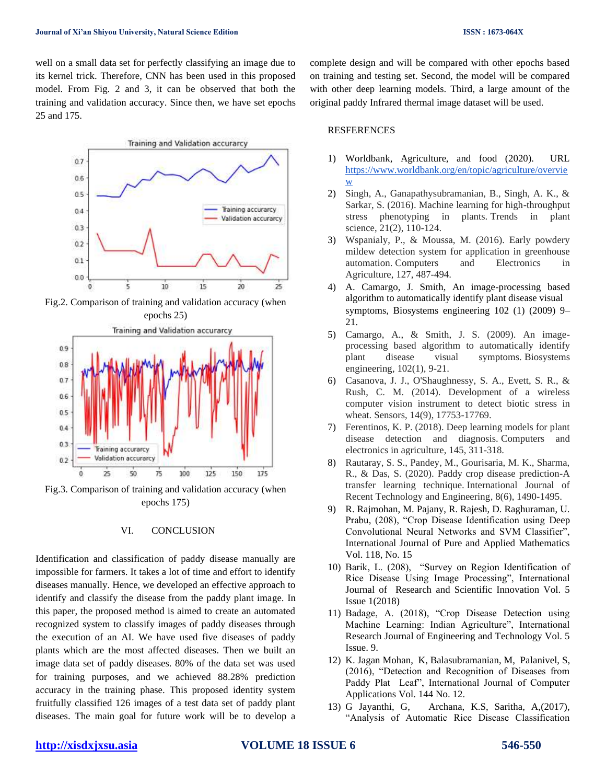well on a small data set for perfectly classifying an image due to its kernel trick. Therefore, CNN has been used in this proposed model. From Fig. 2 and 3, it can be observed that both the training and validation accuracy. Since then, we have set epochs 25 and 175.



Fig.2. Comparison of training and validation accuracy (when epochs 25)



Fig.3. Comparison of training and validation accuracy (when epochs 175)

#### VI. CONCLUSION

Identification and classification of paddy disease manually are impossible for farmers. It takes a lot of time and effort to identify diseases manually. Hence, we developed an effective approach to identify and classify the disease from the paddy plant image. In this paper, the proposed method is aimed to create an automated recognized system to classify images of paddy diseases through the execution of an AI. We have used five diseases of paddy plants which are the most affected diseases. Then we built an image data set of paddy diseases. 80% of the data set was used for training purposes, and we achieved 88.28% prediction accuracy in the training phase. This proposed identity system fruitfully classified 126 images of a test data set of paddy plant diseases. The main goal for future work will be to develop a complete design and will be compared with other epochs based on training and testing set. Second, the model will be compared with other deep learning models. Third, a large amount of the original paddy Infrared thermal image dataset will be used.

#### RESFERENCES

- 1) Worldbank, Agriculture, and food (2020). URL [https://www.worldbank.org/en/topic/agriculture/overvie](https://www.worldbank.org/en/topic/agriculture/overview) [w](https://www.worldbank.org/en/topic/agriculture/overview)
- 2) Singh, A., Ganapathysubramanian, B., Singh, A. K., & Sarkar, S. (2016). Machine learning for high-throughput stress phenotyping in plants. Trends in plant science, 21(2), 110-124.
- 3) Wspanialy, P., & Moussa, M. (2016). Early powdery mildew detection system for application in greenhouse automation. Computers and Electronics in Agriculture, 127, 487-494.
- 4) A. Camargo, J. Smith, An image-processing based algorithm to automatically identify plant disease visual symptoms, Biosystems engineering 102 (1) (2009) 9– 21.
- 5) Camargo, A., & Smith, J. S. (2009). An imageprocessing based algorithm to automatically identify plant disease visual symptoms. Biosystems engineering, 102(1), 9-21.
- 6) Casanova, J. J., O'Shaughnessy, S. A., Evett, S. R., & Rush, C. M. (2014). Development of a wireless computer vision instrument to detect biotic stress in wheat. Sensors, 14(9), 17753-17769.
- 7) Ferentinos, K. P. (2018). Deep learning models for plant disease detection and diagnosis. Computers and electronics in agriculture, 145, 311-318.
- 8) Rautaray, S. S., Pandey, M., Gourisaria, M. K., Sharma, R., & Das, S. (2020). Paddy crop disease prediction-A transfer learning technique. International Journal of Recent Technology and Engineering, 8(6), 1490-1495.
- 9) R. Rajmohan, M. Pajany, R. Rajesh, D. Raghuraman, U. Prabu, (208), "Crop Disease Identification using Deep Convolutional Neural Networks and SVM Classifier", International Journal of Pure and Applied Mathematics Vol. 118, No. 15
- 10) Barik, L. (208), "Survey on Region Identification of Rice Disease Using Image Processing", International Journal of Research and Scientific Innovation Vol. 5 Issue 1(2018)
- 11) Badage, A. (2018), "Crop Disease Detection using Machine Learning: Indian Agriculture", International Research Journal of Engineering and Technology Vol. 5 Issue. 9.
- 12) K. Jagan Mohan, K, Balasubramanian, M, Palanivel, S, (2016), "Detection and Recognition of Diseases from Paddy Plat Leaf", International Journal of Computer Applications Vol. 144 No. 12.
- 13) G Jayanthi, G, Archana, K.S, Saritha, A,(2017), "Analysis of Automatic Rice Disease Classification